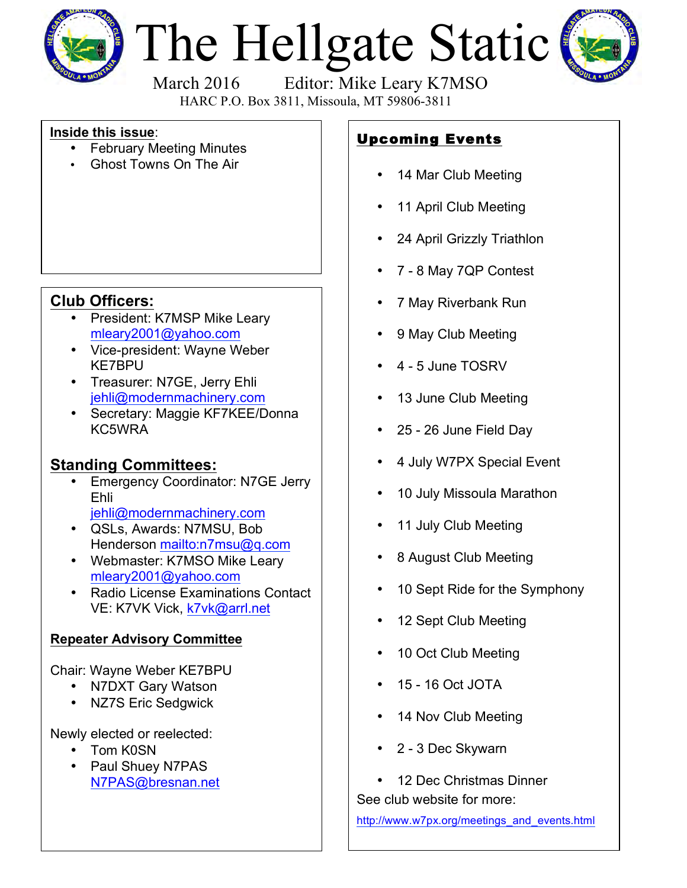

# The Hellgate Static



March 2016 Editor: Mike Leary K7MSO

HARC P.O. Box 3811, Missoula, MT 59806-3811

#### **Inside this issue**:

- February Meeting Minutes
- Ghost Towns On The Air

### **Club Officers:**

- President: K7MSP Mike Leary [mleary2001@yahoo.com](mailto:mleary2001@yahoo.com?subject=Hellgate Amateur Radio Club Web Site Info)
- Vice-president: Wayne Weber KE7BPU
- Treasurer: N7GE, Jerry Ehli [jehli@modernmachinery.com](mailto:jehli@modernmachinery.com?subject=Hellgate Amateur Radio Club Info)
- Secretary: Maggie KF7KEE/Donna KC5WRA

## **Standing Committees:**

- Emergency Coordinator: N7GE Jerry Ehli [jehli@modernmachinery.com](mailto:jehli@modernmachinery.com?subject=Hellgate Amateur Radio Club Info)
- QSLs, Awards: N7MSU, Bob Henderson <mailto:n7msu@q.com>
- Webmaster: K7MSO Mike Leary [mleary2001@yahoo.com](mailto:mleary2001@yahoo.com?subject=Hellgate Amateur Radio Club Web Site Info)
- Radio License Examinations Contact VE: K7VK Vick, [k7vk@arrl.net](mailto:k7vk@arrl.net?subject=Hellgate Amateur Radio Club License Exams)

#### **Repeater Advisory Committee**

Chair: Wayne Weber KE7BPU

- N7DXT Gary Watson
- NZ7S Eric Sedgwick

Newly elected or reelected:

- Tom K0SN
- Paul Shuey N7PAS N7PAS@bresnan.net

# Upcoming Events

- 14 Mar Club Meeting
- 11 April Club Meeting
- 24 April Grizzly Triathlon
- 7 8 May 7QP Contest
- 7 May Riverbank Run
- 9 May Club Meeting
- 4 5 June TOSRV
- 13 June Club Meeting
- 25 26 June Field Day
- 4 July W7PX Special Event
- 10 July Missoula Marathon
- 11 July Club Meeting
- 8 August Club Meeting
- 10 Sept Ride for the Symphony
- 12 Sept Club Meeting
- 10 Oct Club Meeting
- 15 16 Oct JOTA
- 14 Nov Club Meeting
- 2 3 Dec Skywarn
- 12 Dec Christmas Dinner

See club website for more:

[http://www.w7px.org/meetings\\_and\\_events.html](http://www.w7px.org/meetings_and_events.html)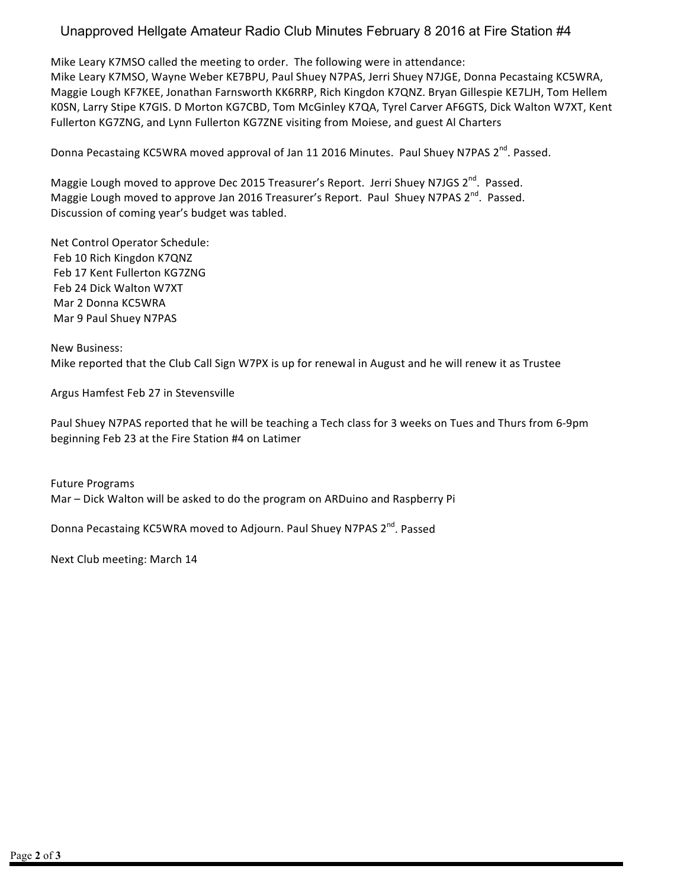#### Unapproved Hellgate Amateur Radio Club Minutes February 8 2016 at Fire Station #4

Mike Leary K7MSO called the meeting to order. The following were in attendance: Mike Leary K7MSO, Wayne Weber KE7BPU, Paul Shuey N7PAS, Jerri Shuey N7JGE, Donna Pecastaing KC5WRA, Maggie Lough KF7KEE, Jonathan Farnsworth KK6RRP, Rich Kingdon K7QNZ. Bryan Gillespie KE7LJH, Tom Hellem K0SN, Larry Stipe K7GIS. D Morton KG7CBD, Tom McGinley K7QA, Tyrel Carver AF6GTS, Dick Walton W7XT, Kent Fullerton KG7ZNG, and Lynn Fullerton KG7ZNE visiting from Moiese, and guest Al Charters

Donna Pecastaing KC5WRA moved approval of Jan 11 2016 Minutes. Paul Shuey N7PAS 2<sup>nd</sup>. Passed.

Maggie Lough moved to approve Dec 2015 Treasurer's Report. Jerri Shuey N7JGS 2<sup>nd</sup>. Passed. Maggie Lough moved to approve Jan 2016 Treasurer's Report. Paul Shuey N7PAS 2<sup>nd</sup>. Passed. Discussion of coming year's budget was tabled.

Net Control Operator Schedule: Feb 10 Rich Kingdon K7QNZ Feb 17 Kent Fullerton KG7ZNG Feb 24 Dick Walton W7XT Mar 2 Donna KC5WRA Mar 9 Paul Shuey N7PAS

New Business: Mike reported that the Club Call Sign W7PX is up for renewal in August and he will renew it as Trustee

Argus Hamfest Feb 27 in Stevensville

Paul Shuey N7PAS reported that he will be teaching a Tech class for 3 weeks on Tues and Thurs from 6-9pm beginning Feb 23 at the Fire Station #4 on Latimer

Future Programs Mar - Dick Walton will be asked to do the program on ARDuino and Raspberry Pi

Donna Pecastaing KC5WRA moved to Adjourn. Paul Shuey N7PAS 2<sup>nd</sup>. Passed

Next Club meeting: March 14